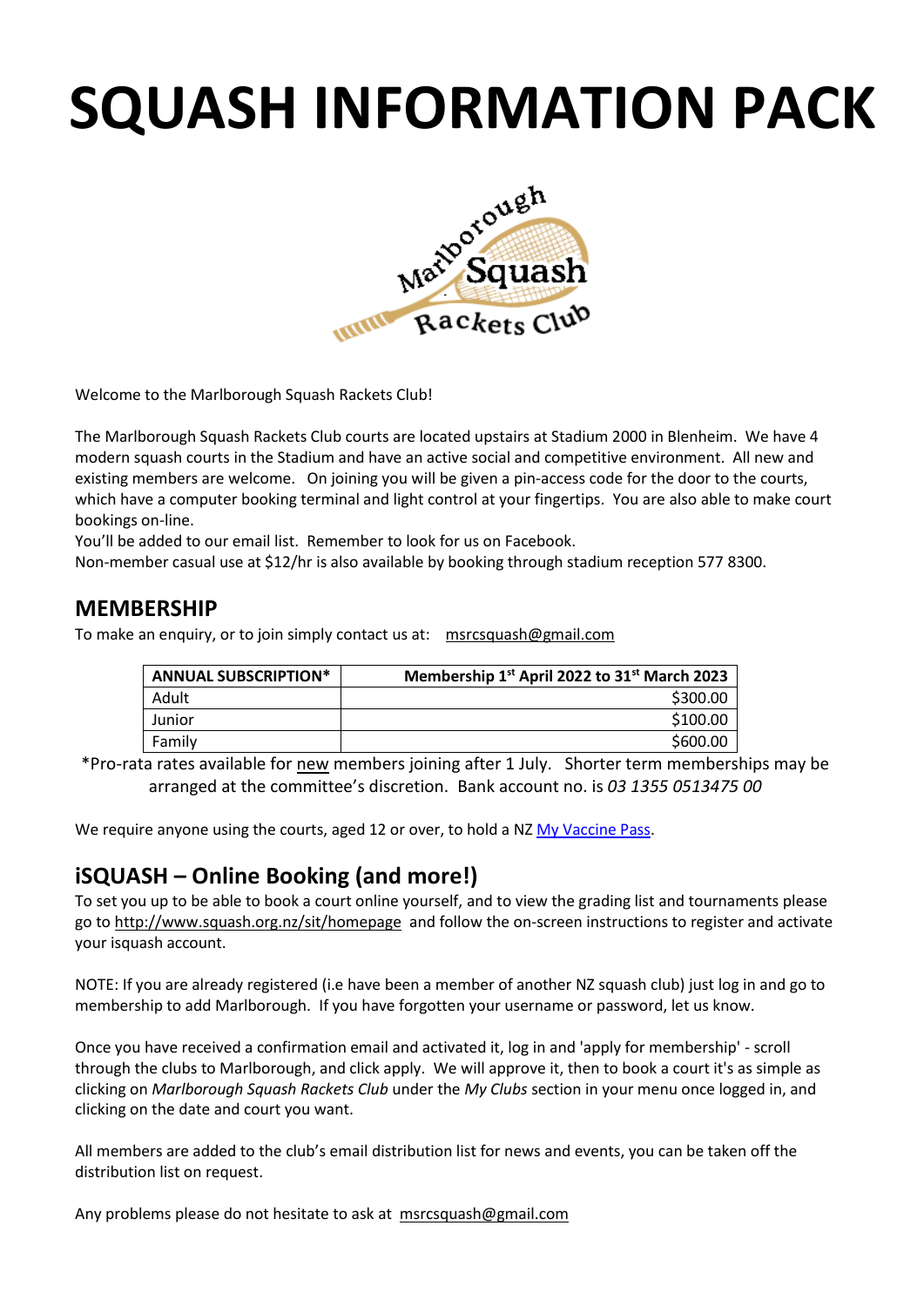# **SQUASH INFORMATION PACK**



Welcome to the Marlborough Squash Rackets Club!

The Marlborough Squash Rackets Club courts are located upstairs at Stadium 2000 in Blenheim. We have 4 modern squash courts in the Stadium and have an active social and competitive environment. All new and existing members are welcome. On joining you will be given a pin-access code for the door to the courts, which have a computer booking terminal and light control at your fingertips. You are also able to make court bookings on-line.

You'll be added to our email list. Remember to look for us on Facebook.

Non-member casual use at \$12/hr is also available by booking through stadium reception 577 8300.

## **MEMBERSHIP**

To make an enquiry, or to join simply contact us at: [msrcsquash@gmail.com](mailto:msrcsquash@gmail.com)

| <b>ANNUAL SUBSCRIPTION*</b> | Membership 1 <sup>st</sup> April 2022 to 31 <sup>st</sup> March 2023 |
|-----------------------------|----------------------------------------------------------------------|
| Adult                       | \$300.00                                                             |
| Junior                      | \$100.00                                                             |
| Family                      | \$600.00                                                             |

\*Pro-rata rates available for new members joining after 1 July. Shorter term memberships may be arranged at the committee's discretion. Bank account no. is *03 1355 0513475 00*

We require anyone using the courts, aged 12 or over, to hold a N[Z My Vaccine Pass.](https://covid19.govt.nz/covid-19-vaccines/covid-19-vaccination-certificates/my-vaccine-pass/)

## **iSQUASH – Online Booking (and more!)**

To set you up to be able to book a court online yourself, and to view the grading list and tournaments please go t[o http://www.squash.org.nz/sit/homepage](http://www.squash.org.nz/sit/homepage) and follow the on-screen instructions to register and activate your isquash account.

NOTE: If you are already registered (i.e have been a member of another NZ squash club) just log in and go to membership to add Marlborough. If you have forgotten your username or password, let us know.

Once you have received a confirmation email and activated it, log in and 'apply for membership' - scroll through the clubs to Marlborough, and click apply. We will approve it, then to book a court it's as simple as clicking on *Marlborough Squash Rackets Club* under the *My Clubs* section in your menu once logged in, and clicking on the date and court you want.

All members are added to the club's email distribution list for news and events, you can be taken off the distribution list on request.

Any problems please do not hesitate to ask at [msrcsquash@gmail.com](mailto:msrcsquash@gmail.com)